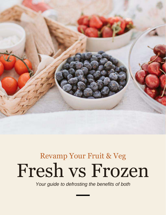

# Fresh vs Frozen Revamp Your Fruit & Veg

*Your guide to defrosting the benefits of both*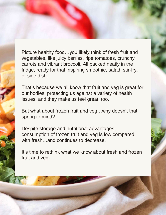Picture healthy food…you likely think of fresh fruit and vegetables, like juicy berries, ripe tomatoes, crunchy carrots and vibrant broccoli. All packed neatly in the fridge, ready for that inspiring smoothie, salad, stir-fry, or side dish.

That's because we all know that fruit and veg is great for our bodies, protecting us against a variety of health issues, and they make us feel great, too.

But what about frozen fruit and veg…why doesn't that spring to mind?

Despite storage and nutritional advantages, consumption of frozen fruit and veg is low compared with fresh…and continues to decrease.

It's time to rethink what we know about fresh and frozen fruit and veg.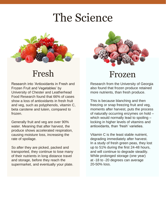## The Science



Research into 'Antioxidants in Fresh and Frozen Fruit and Vegetables' by University of Chester and Leatherhead Food Research found that 66% of cases show a loss of antioxidants in fresh fruit and veg, such as polyphenols, vitamin C, beta carotene and lutein, compared to frozen.

Generally fruit and veg are over 90% water. Meaning that after harvest, the produce shows accelerated respiration, causing moisture loss, increasing the rate of spoilage.

So after they are picked, packed and transported, they continue to lose many of their nutrients in long distance travel and storage, before they reach the supermarket, and eventually your plate.



### Fresh Frozen

Research from the University of Georgia also found that frozen produce retained more nutrients, than fresh produce.

This is because blanching and then freezing or snap freezing fruit and veg, moments after harvest, puts the process of naturally occurring enzymes on hold – which would normally lead to spoiling locking in higher levels of vitamins and antioxidants, than 'fresh' varieties.

Vitamin C is the least stable nutrient, degrading immediately after harvest. In a study of fresh green peas, they lost up to 51% during the first 24-48 hours, and will continue to degrade steadily. While prolonged storage (one year) at -18 to -20 degrees can average 20-50% loss.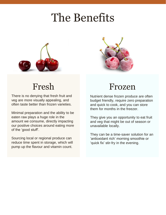## The Benefits





There is no denying that fresh fruit and veg are more visually appealing, and often taste better than frozen varieties.

Minimal preparation and the ability to be eaten raw plays a huge role in the amount we consume, directly impacting our positive choices around eating more of the 'good stuff'.

Sourcing local or regional produce can reduce time spent in storage, which will pump up the flavour and vitamin count.

### Fresh Frozen

Nutrient dense frozen produce are often budget friendly, require zero preparation and quick to cook, and you can store them for months in the freezer.

They give you an opportunity to eat fruit and veg that might be out of season or unavailable locally.

They can be a time-saver solution for an 'antioxidant rich' morning smoothie or 'quick fix' stir-fry in the evening.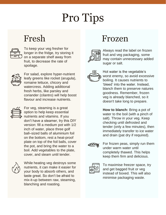# Pro Tips



To keep your veg fresher for longer in the fridge, try storing it on a separate shelf away from fruit, to decrease the rate of spoilage.



For salad, explore hyper-nutrient leafy greens like rocket (arugula), romaine lettuce, chicory and watercress. Adding additional fresh herbs, like parsley and coriander (cilantro) will help boost flavour and increase nutrients.



For veg, steaming is a great option to help keep essential nutrients and vitamins. If you don't have a steamer, try this DIY version: fill a medium pot with 1/2 inch of water, place three golf ball–sized balls of aluminium foil on the bottom, rest a heat-proof plate on top of the foil balls, cover the pot, and bring the water to a boil. Add vegetables to the plate, cover, and steam until tender.



While heating veg destroys some nutrients, it can make it easier for your body to absorb others, and taste great. So don't be afraid to mix-it-up between raw, steaming, blanching and roasting.

### Fresh Frozen



Always read the label on frozen fruit and veg packaging, some may contain unnecessary added sugar or salt.



Hot water is the vegetable's worst enemy, so avoid excessive boiling. It causes nutrients to 'bleed' into the water. Instead, blanch them to preserve natures goodness. Remember, frozen veg is already blanched, so it doesn't take long to prepare.

**How to blanch:** Bring a pot of water to the boil (with a pinch of salt). Throw in your veg. Keep checking until defrosted and tender (only a few minutes), then immediately transfer to ice water and drain (pat dry if required).

For frozen peas, simply run them under warm water until completely thawed. This helps keep them firm and delicious.



To maximise freezer space, try and get bagged fruit or veg instead of boxed. This will also minimise packaging waste.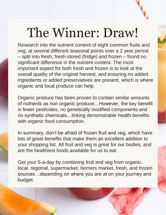# The Winner: Draw!

Research into the nutrient content of eight common fruits and veg, at several different seasonal points over a 2 year period – split into fresh, fresh-stored (fridge) and frozen – found no significant difference in the nutrient content. The most important aspect for both fresh and frozen is to look at the overall quality of the original harvest, and ensuring no added ingredients or added preservatives are present, which is where organic and local produce can help.

Organic produce has been proven to contain similar amounts of nutrients as non organic produce…However, the key benefit is fewer pesticides, no genetically modified components and no synthetic chemicals…linking demonstrable health benefits with organic food consumption.

In summary, don't be afraid of frozen fruit and veg, which have lots of great benefits that make them an excellent addition to your shopping list. All fruit and veg is great for our bodies, and are the healthiest foods available for us to eat.

Get your 5-a-day by combining fruit and veg from organic, local, regional, supermarket, farmers market, fresh, and frozen sources…depending on where you are at on your journey and budget.